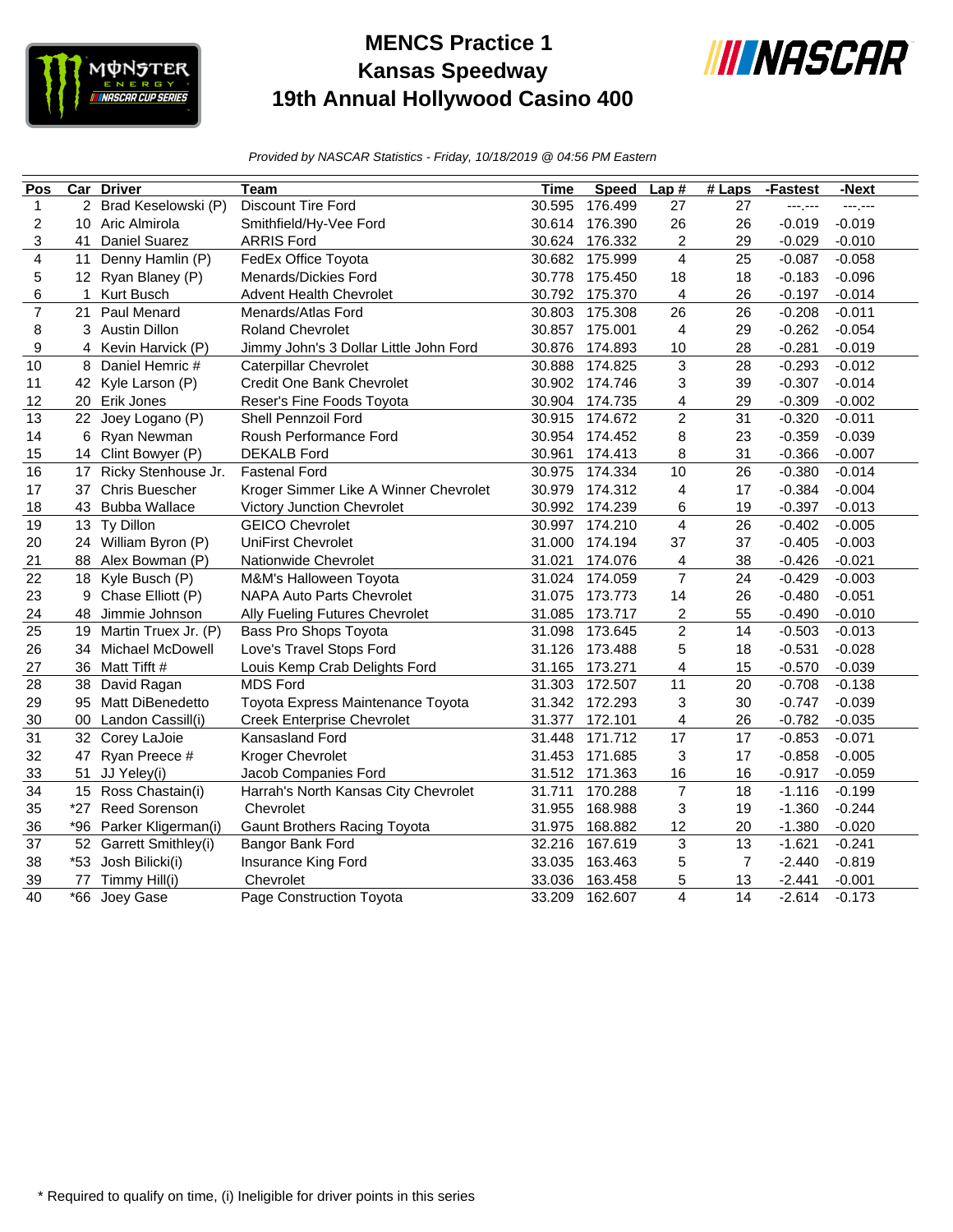

## **MENCS Practice 1 Kansas Speedway 19th Annual Hollywood Casino 400**



*Provided by NASCAR Statistics - Friday, 10/18/2019 @ 04:56 PM Eastern*

| Pos                     |                 | Car Driver              | Team                                   | Time   | <b>Speed</b> | Lap#                    | $#$ Laps       | -Fastest | -Next    |
|-------------------------|-----------------|-------------------------|----------------------------------------|--------|--------------|-------------------------|----------------|----------|----------|
| $\mathbf{1}$            | 2               | Brad Keselowski (P)     | <b>Discount Tire Ford</b>              | 30.595 | 176.499      | 27                      | 27             | ---.---  | ---,---  |
| $\overline{c}$          | 10              | Aric Almirola           | Smithfield/Hy-Vee Ford                 | 30.614 | 176.390      | 26                      | 26             | $-0.019$ | $-0.019$ |
| 3                       | 41              | <b>Daniel Suarez</b>    | <b>ARRIS Ford</b>                      | 30.624 | 176.332      | 2                       | 29             | $-0.029$ | $-0.010$ |
| $\overline{\mathbf{4}}$ | 11              | Denny Hamlin (P)        | FedEx Office Toyota                    | 30.682 | 175.999      | $\overline{\mathbf{4}}$ | 25             | $-0.087$ | $-0.058$ |
| 5                       |                 | 12 Ryan Blaney (P)      | Menards/Dickies Ford                   | 30.778 | 175.450      | 18                      | 18             | $-0.183$ | $-0.096$ |
| 6                       | 1               | Kurt Busch              | <b>Advent Health Chevrolet</b>         | 30.792 | 175.370      | 4                       | 26             | $-0.197$ | $-0.014$ |
| $\overline{7}$          | 21              | <b>Paul Menard</b>      | Menards/Atlas Ford                     | 30.803 | 175.308      | 26                      | 26             | $-0.208$ | $-0.011$ |
| 8                       |                 | 3 Austin Dillon         | <b>Roland Chevrolet</b>                | 30.857 | 175.001      | $\overline{4}$          | 29             | $-0.262$ | $-0.054$ |
| 9                       | 4               | Kevin Harvick (P)       | Jimmy John's 3 Dollar Little John Ford | 30.876 | 174.893      | 10                      | 28             | $-0.281$ | $-0.019$ |
| 10                      | 8               | Daniel Hemric #         | Caterpillar Chevrolet                  | 30.888 | 174.825      | 3                       | 28             | $-0.293$ | $-0.012$ |
| 11                      |                 | 42 Kyle Larson (P)      | Credit One Bank Chevrolet              | 30.902 | 174.746      | 3                       | 39             | $-0.307$ | $-0.014$ |
| 12                      |                 | 20 Erik Jones           | Reser's Fine Foods Toyota              | 30.904 | 174.735      | $\overline{\mathbf{4}}$ | 29             | $-0.309$ | $-0.002$ |
| 13                      | 22              | Joey Logano (P)         | Shell Pennzoil Ford                    | 30.915 | 174.672      | $\overline{c}$          | 31             | $-0.320$ | $-0.011$ |
| 14                      | 6               | Ryan Newman             | Roush Performance Ford                 | 30.954 | 174.452      | 8                       | 23             | $-0.359$ | $-0.039$ |
| 15                      |                 | 14 Clint Bowyer (P)     | <b>DEKALB Ford</b>                     | 30.961 | 174.413      | 8                       | 31             | $-0.366$ | $-0.007$ |
| 16                      | 17              | Ricky Stenhouse Jr.     | <b>Fastenal Ford</b>                   | 30.975 | 174.334      | 10                      | 26             | $-0.380$ | $-0.014$ |
| 17                      | 37              | <b>Chris Buescher</b>   | Kroger Simmer Like A Winner Chevrolet  | 30.979 | 174.312      | 4                       | 17             | $-0.384$ | $-0.004$ |
| 18                      | 43              | <b>Bubba Wallace</b>    | Victory Junction Chevrolet             | 30.992 | 174.239      | 6                       | 19             | $-0.397$ | $-0.013$ |
| 19                      | 13 <sup>°</sup> | Ty Dillon               | <b>GEICO Chevrolet</b>                 | 30.997 | 174.210      | 4                       | 26             | $-0.402$ | $-0.005$ |
| 20                      |                 | 24 William Byron (P)    | <b>UniFirst Chevrolet</b>              | 31.000 | 174.194      | 37                      | 37             | $-0.405$ | $-0.003$ |
| 21                      | 88              | Alex Bowman (P)         | Nationwide Chevrolet                   | 31.021 | 174.076      | 4                       | 38             | $-0.426$ | $-0.021$ |
| 22                      |                 | 18 Kyle Busch (P)       | M&M's Halloween Toyota                 | 31.024 | 174.059      | $\overline{7}$          | 24             | $-0.429$ | $-0.003$ |
| 23                      | 9               | Chase Elliott (P)       | <b>NAPA Auto Parts Chevrolet</b>       | 31.075 | 173.773      | 14                      | 26             | $-0.480$ | $-0.051$ |
| 24                      | 48              | Jimmie Johnson          | Ally Fueling Futures Chevrolet         | 31.085 | 173.717      | $\overline{\mathbf{c}}$ | 55             | $-0.490$ | $-0.010$ |
| 25                      | 19              | Martin Truex Jr. (P)    | Bass Pro Shops Toyota                  | 31.098 | 173.645      | $\overline{\mathbf{c}}$ | 14             | $-0.503$ | $-0.013$ |
| 26                      |                 | 34 Michael McDowell     | Love's Travel Stops Ford               | 31.126 | 173.488      | 5                       | 18             | $-0.531$ | $-0.028$ |
| 27                      | 36              | Matt Tifft #            | Louis Kemp Crab Delights Ford          | 31.165 | 173.271      | 4                       | 15             | $-0.570$ | $-0.039$ |
| 28                      |                 | 38 David Ragan          | <b>MDS Ford</b>                        | 31.303 | 172.507      | 11                      | 20             | $-0.708$ | $-0.138$ |
| 29                      | 95              | Matt DiBenedetto        | Toyota Express Maintenance Toyota      | 31.342 | 172.293      | 3                       | 30             | $-0.747$ | $-0.039$ |
| 30                      | 00              | Landon Cassill(i)       | <b>Creek Enterprise Chevrolet</b>      | 31.377 | 172.101      | 4                       | 26             | $-0.782$ | $-0.035$ |
| 31                      | 32              | Corey LaJoie            | Kansasland Ford                        | 31.448 | 171.712      | 17                      | 17             | $-0.853$ | $-0.071$ |
| 32                      | 47              | Ryan Preece #           | Kroger Chevrolet                       | 31.453 | 171.685      | 3                       | 17             | $-0.858$ | $-0.005$ |
| 33                      | 51              | JJ Yeley(i)             | Jacob Companies Ford                   | 31.512 | 171.363      | 16                      | 16             | $-0.917$ | $-0.059$ |
| 34                      |                 | 15 Ross Chastain(i)     | Harrah's North Kansas City Chevrolet   | 31.711 | 170.288      | $\overline{7}$          | 18             | $-1.116$ | $-0.199$ |
| 35                      | $*27$           | <b>Reed Sorenson</b>    | Chevrolet                              | 31.955 | 168.988      | 3                       | 19             | $-1.360$ | $-0.244$ |
| 36                      |                 | *96 Parker Kligerman(i) | <b>Gaunt Brothers Racing Toyota</b>    | 31.975 | 168.882      | 12                      | 20             | $-1.380$ | $-0.020$ |
| 37                      |                 | 52 Garrett Smithley(i)  | Bangor Bank Ford                       | 32.216 | 167.619      | 3                       | 13             | $-1.621$ | $-0.241$ |
| 38                      | $*53$           | Josh Bilicki(i)         | Insurance King Ford                    | 33.035 | 163.463      | 5                       | $\overline{7}$ | $-2.440$ | $-0.819$ |
| 39                      | 77              | Timmy Hill(i)           | Chevrolet                              | 33.036 | 163.458      | 5                       | 13             | $-2.441$ | $-0.001$ |
| 40                      | $*66$           | Joey Gase               | Page Construction Toyota               | 33.209 | 162.607      | $\overline{4}$          | 14             | $-2.614$ | $-0.173$ |